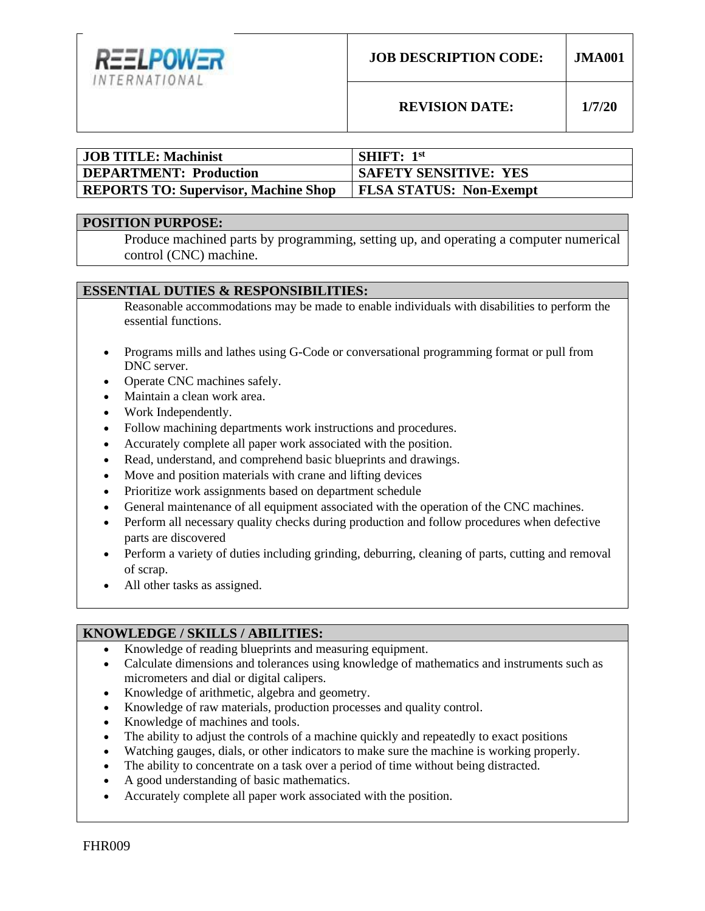

**REVISION DATE: 1/7/20**

| <b>JOB TITLE: Machinist</b>          | <b>SHIFT:</b> $1st$            |
|--------------------------------------|--------------------------------|
| <b>DEPARTMENT: Production</b>        | <b>SAFETY SENSITIVE: YES</b>   |
| REPORTS TO: Supervisor, Machine Shop | <b>FLSA STATUS: Non-Exempt</b> |

#### **POSITION PURPOSE:**

Produce machined parts by programming, setting up, and operating a computer numerical control (CNC) machine.

### **ESSENTIAL DUTIES & RESPONSIBILITIES:**

Reasonable accommodations may be made to enable individuals with disabilities to perform the essential functions.

- Programs mills and lathes using G-Code or conversational programming format or pull from DNC server.
- Operate CNC machines safely.
- Maintain a clean work area.
- Work Independently.
- Follow machining departments work instructions and procedures.
- Accurately complete all paper work associated with the position.
- Read, understand, and comprehend basic blueprints and drawings.
- Move and position materials with crane and lifting devices
- Prioritize work assignments based on department schedule
- General maintenance of all equipment associated with the operation of the CNC machines.
- Perform all necessary quality checks during production and follow procedures when defective parts are discovered
- Perform a variety of duties including grinding, deburring, cleaning of parts, cutting and removal of scrap.
- All other tasks as assigned.

### **KNOWLEDGE / SKILLS / ABILITIES:**

- Knowledge of reading blueprints and measuring equipment.
- Calculate dimensions and tolerances using knowledge of mathematics and instruments such as micrometers and dial or digital calipers.
- Knowledge of arithmetic, algebra and geometry.
- Knowledge of raw materials, production processes and quality control.
- Knowledge of machines and tools.
- The ability to adjust the controls of a machine quickly and repeatedly to exact positions
- Watching gauges, dials, or other indicators to make sure the machine is working properly.
- The ability to concentrate on a task over a period of time without being distracted.
- A good understanding of basic mathematics.
- Accurately complete all paper work associated with the position.